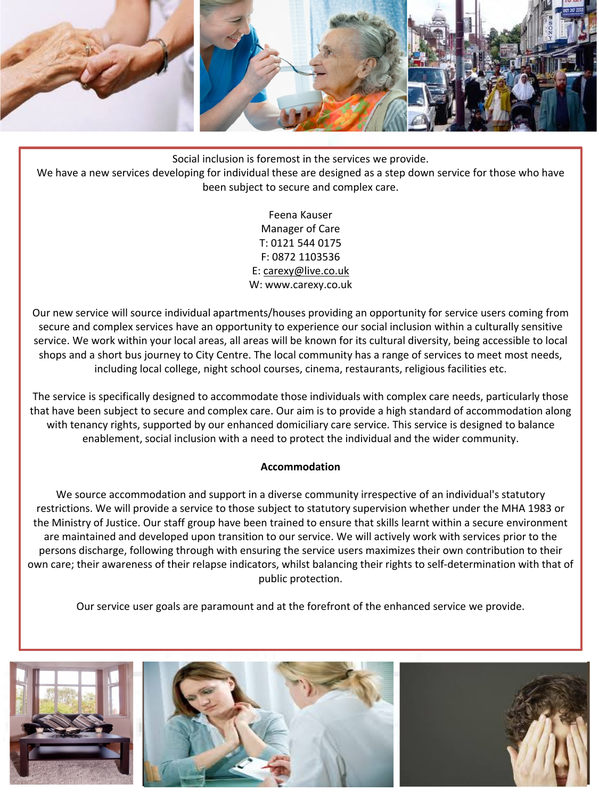

Social inclusion is foremost in the services we provide.

We have a new services developing for individual these are designed as a step down service for those who have been subject to secure and complex care.

> Feena Kauser Manager of Care T: 0121 544 0175 F: 0872 1103536 E: carexy@live.co.uk W: www.carexy.co.uk

Our new service will source individual apartments/houses providing an opportunity for service users coming from secure and complex services have an opportunity to experience our social inclusion within a culturally sensitive service. We work within your local areas, all areas will be known for its cultural diversity, being accessible to local shops and a short bus journey to City Centre. The local community has a range of services to meet most needs, including local college, night school courses, cinema, restaurants, religious facilities etc.

The service is specifically designed to accommodate those individuals with complex care needs, particularly those that have been subject to secure and complex care. Our aim is to provide a high standard of accommodation along with tenancy rights, supported by our enhanced domiciliary care service. This service is designed to balance enablement, social inclusion with a need to protect the individual and the wider community.

## **Accommodation**

We source accommodation and support in a diverse community irrespective of an individual's statutory restrictions. We will provide a service to those subject to statutory supervision whether under the MHA 1983 or the Ministry of Justice. Our staff group have been trained to ensure that skills learnt within a secure environment are maintained and developed upon transition to our service. We will actively work with services prior to the persons discharge, following through with ensuring the service users maximizes their own contribution to their own care; their awareness of their relapse indicators, whilst balancing their rights to self-determination with that of public protection.

Our service user goals are paramount and at the forefront of the enhanced service we provide.

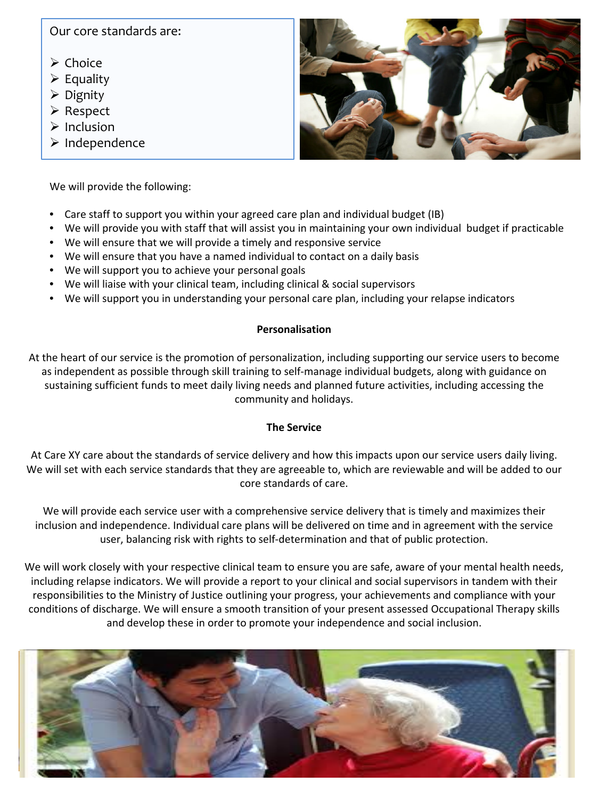# Our core standards are:

- $\triangleright$  Choice
- $\triangleright$  Equality
- $\triangleright$  Dignity
- **≻** Respect
- $\triangleright$  Inclusion
- $\triangleright$  Independence

We will provide the following:

- Care staff to support you within your agreed care plan and individual budget (IB)
- We will provide you with staff that will assist you in maintaining your own individual budget if practicable
- We will ensure that we will provide a timely and responsive service
- We will ensure that you have a named individual to contact on a daily basis
- We will support you to achieve your personal goals
- We will liaise with your clinical team, including clinical & social supervisors
- We will support you in understanding your personal care plan, including your relapse indicators

## **Personalisation**

At the heart of our service is the promotion of personalization, including supporting our service users to become as independent as possible through skill training to self-manage individual budgets, along with guidance on sustaining sufficient funds to meet daily living needs and planned future activities, including accessing the community and holidays.

## **The Service**

At Care XY care about the standards of service delivery and how this impacts upon our service users daily living. We will set with each service standards that they are agreeable to, which are reviewable and will be added to our core standards of care.

We will provide each service user with a comprehensive service delivery that is timely and maximizes their inclusion and independence. Individual care plans will be delivered on time and in agreement with the service user, balancing risk with rights to self-determination and that of public protection.

We will work closely with your respective clinical team to ensure you are safe, aware of your mental health needs, including relapse indicators. We will provide a report to your clinical and social supervisors in tandem with their responsibilities to the Ministry of Justice outlining your progress, your achievements and compliance with your conditions of discharge. We will ensure a smooth transition of your present assessed Occupational Therapy skills and develop these in order to promote your independence and social inclusion.